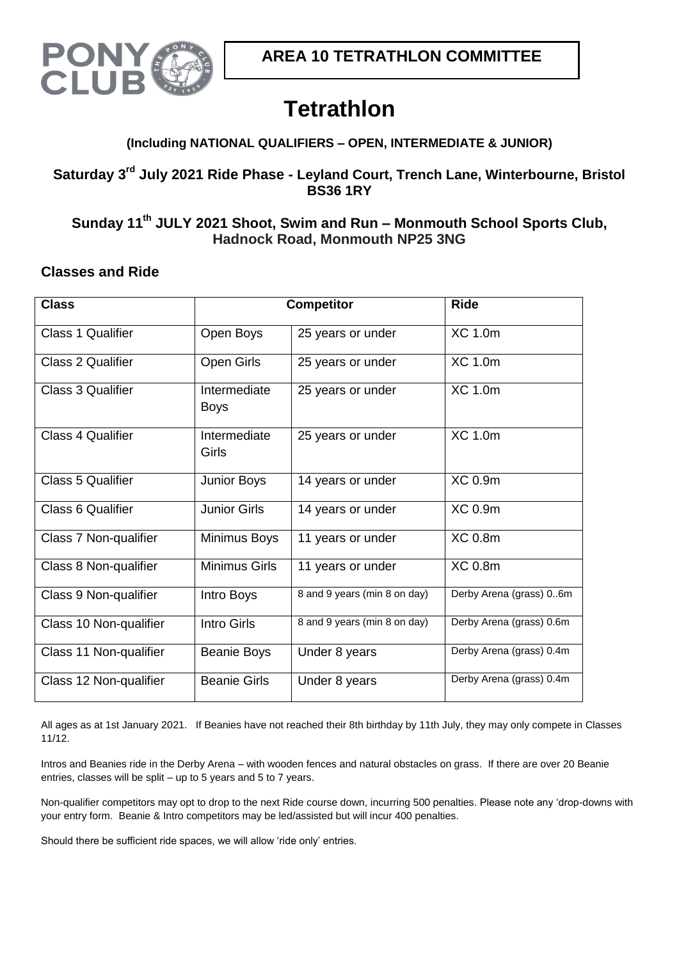

# **Tetrathlon**

## **(Including NATIONAL QUALIFIERS – OPEN, INTERMEDIATE & JUNIOR)**

# **Saturday 3 rd July 2021 Ride Phase - Leyland Court, Trench Lane, Winterbourne, Bristol BS36 1RY**

# **Sunday 11 th JULY 2021 Shoot, Swim and Run – Monmouth School Sports Club, Hadnock Road, Monmouth NP25 3NG**

## **Classes and Ride**

| <b>Class</b>             | <b>Competitor</b>           | <b>Ride</b>                  |                          |
|--------------------------|-----------------------------|------------------------------|--------------------------|
| Class 1 Qualifier        | Open Boys                   | 25 years or under            | <b>XC 1.0m</b>           |
| <b>Class 2 Qualifier</b> | Open Girls                  | 25 years or under            | XC 1.0m                  |
| <b>Class 3 Qualifier</b> | Intermediate<br><b>Boys</b> | 25 years or under            | <b>XC 1.0m</b>           |
| <b>Class 4 Qualifier</b> | Intermediate<br>Girls       | 25 years or under            | <b>XC 1.0m</b>           |
| <b>Class 5 Qualifier</b> | <b>Junior Boys</b>          | 14 years or under            | XC 0.9m                  |
| Class 6 Qualifier        | <b>Junior Girls</b>         | 14 years or under            | <b>XC 0.9m</b>           |
| Class 7 Non-qualifier    | Minimus Boys                | 11 years or under            | <b>XC 0.8m</b>           |
| Class 8 Non-qualifier    | <b>Minimus Girls</b>        | 11 years or under            | <b>XC 0.8m</b>           |
| Class 9 Non-qualifier    | Intro Boys                  | 8 and 9 years (min 8 on day) | Derby Arena (grass) 06m  |
| Class 10 Non-qualifier   | <b>Intro Girls</b>          | 8 and 9 years (min 8 on day) | Derby Arena (grass) 0.6m |
| Class 11 Non-qualifier   | <b>Beanie Boys</b>          | Under 8 years                | Derby Arena (grass) 0.4m |
| Class 12 Non-qualifier   | <b>Beanie Girls</b>         | Under 8 years                | Derby Arena (grass) 0.4m |

All ages as at 1st January 2021. If Beanies have not reached their 8th birthday by 11th July, they may only compete in Classes 11/12.

Intros and Beanies ride in the Derby Arena – with wooden fences and natural obstacles on grass. If there are over 20 Beanie entries, classes will be split – up to 5 years and 5 to 7 years.

Non-qualifier competitors may opt to drop to the next Ride course down, incurring 500 penalties. Please note any 'drop-downs with your entry form. Beanie & Intro competitors may be led/assisted but will incur 400 penalties.

Should there be sufficient ride spaces, we will allow 'ride only' entries.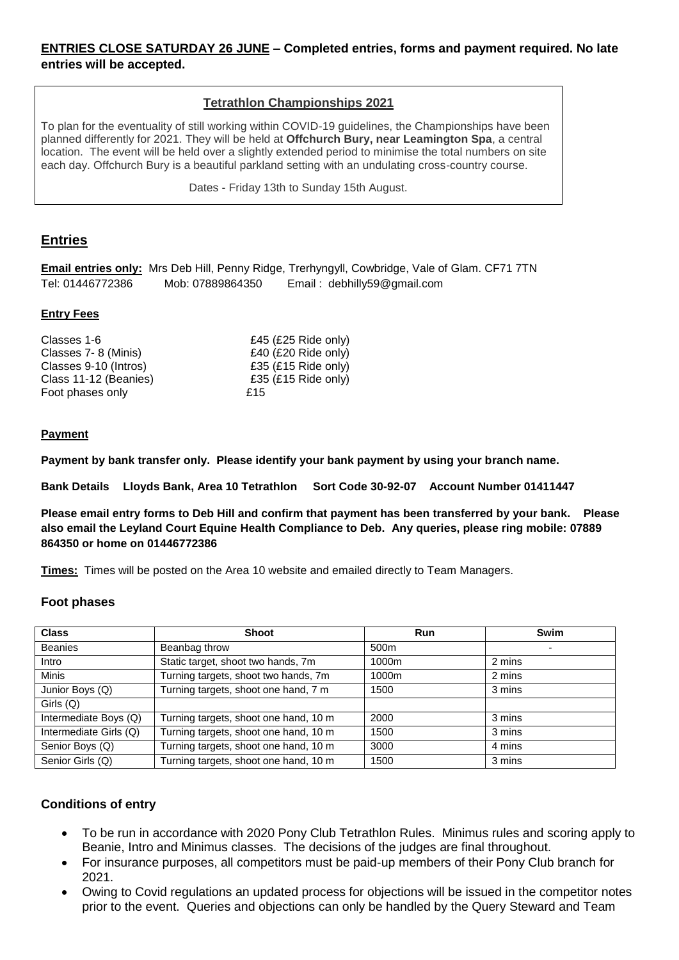#### **ENTRIES CLOSE SATURDAY 26 JUNE – Completed entries, forms and payment required. No late entries will be accepted.**

#### **Tetrathlon Championships 2021**

To plan for the eventuality of still working within COVID-19 guidelines, the Championships have been planned differently for 2021. They will be held at **Offchurch Bury, near Leamington Spa**, a central location. The event will be held over a slightly extended period to minimise the total numbers on site each day. Offchurch Bury is a beautiful parkland setting with an undulating cross-country course.

Dates - Friday 13th to Sunday 15th August.

#### **Entries**

**Email entries only:** Mrs Deb Hill, Penny Ridge, Trerhyngyll, Cowbridge, Vale of Glam. CF71 7TN Tel: 01446772386 Mob: 07889864350 Email : debhilly59@gmail.com

#### **Entry Fees**

| Classes 1-6           | £45 (£25 Ride only) |
|-----------------------|---------------------|
| Classes 7-8 (Minis)   | £40 (£20 Ride only) |
| Classes 9-10 (Intros) | £35 (£15 Ride only) |
| Class 11-12 (Beanies) | £35 (£15 Ride only) |
| Foot phases only      | £15                 |

#### **Payment**

**Payment by bank transfer only. Please identify your bank payment by using your branch name.**

**Bank Details Lloyds Bank, Area 10 Tetrathlon Sort Code 30-92-07 Account Number 01411447**

**Please email entry forms to Deb Hill and confirm that payment has been transferred by your bank. Please also email the Leyland Court Equine Health Compliance to Deb. Any queries, please ring mobile: 07889 864350 or home on 01446772386**

**Times:** Times will be posted on the Area 10 website and emailed directly to Team Managers.

#### **Foot phases**

| <b>Class</b>           | <b>Shoot</b>                          | Run              | <b>Swim</b>              |
|------------------------|---------------------------------------|------------------|--------------------------|
| <b>Beanies</b>         | Beanbag throw                         | 500 <sub>m</sub> | $\overline{\phantom{0}}$ |
| Intro                  | Static target, shoot two hands, 7m    | 1000m            | 2 mins                   |
| <b>Minis</b>           | Turning targets, shoot two hands, 7m  | 1000m            | 2 mins                   |
| Junior Boys (Q)        | Turning targets, shoot one hand, 7 m  | 1500             | 3 mins                   |
| Girls (Q)              |                                       |                  |                          |
| Intermediate Boys (Q)  | Turning targets, shoot one hand, 10 m | 2000             | 3 mins                   |
| Intermediate Girls (Q) | Turning targets, shoot one hand, 10 m | 1500             | 3 mins                   |
| Senior Boys (Q)        | Turning targets, shoot one hand, 10 m | 3000             | 4 mins                   |
| Senior Girls (Q)       | Turning targets, shoot one hand, 10 m | 1500             | 3 mins                   |

#### **Conditions of entry**

- To be run in accordance with 2020 Pony Club Tetrathlon Rules. Minimus rules and scoring apply to Beanie, Intro and Minimus classes. The decisions of the judges are final throughout.
- For insurance purposes, all competitors must be paid-up members of their Pony Club branch for 2021.
- Owing to Covid regulations an updated process for objections will be issued in the competitor notes prior to the event. Queries and objections can only be handled by the Query Steward and Team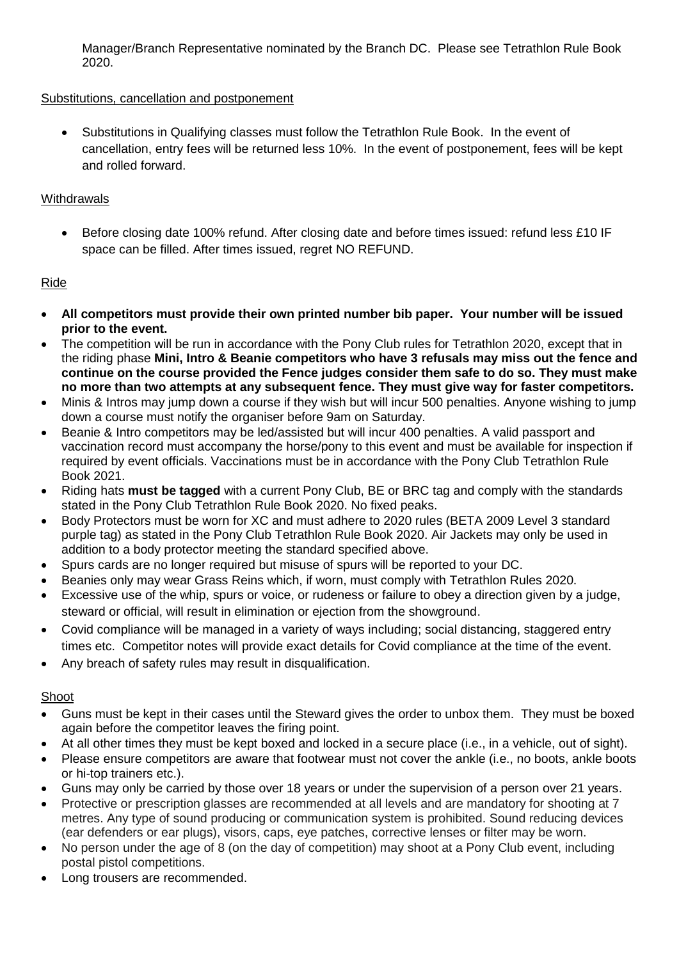Manager/Branch Representative nominated by the Branch DC. Please see Tetrathlon Rule Book 2020.

#### Substitutions, cancellation and postponement

 Substitutions in Qualifying classes must follow the Tetrathlon Rule Book. In the event of cancellation, entry fees will be returned less 10%. In the event of postponement, fees will be kept and rolled forward.

#### **Withdrawals**

 Before closing date 100% refund. After closing date and before times issued: refund less £10 IF space can be filled. After times issued, regret NO REFUND.

#### Ride

- **All competitors must provide their own printed number bib paper. Your number will be issued prior to the event.**
- The competition will be run in accordance with the Pony Club rules for Tetrathlon 2020, except that in the riding phase **Mini, Intro & Beanie competitors who have 3 refusals may miss out the fence and continue on the course provided the Fence judges consider them safe to do so. They must make no more than two attempts at any subsequent fence. They must give way for faster competitors.**
- Minis & Intros may jump down a course if they wish but will incur 500 penalties. Anyone wishing to jump down a course must notify the organiser before 9am on Saturday.
- Beanie & Intro competitors may be led/assisted but will incur 400 penalties. A valid passport and vaccination record must accompany the horse/pony to this event and must be available for inspection if required by event officials. Vaccinations must be in accordance with the Pony Club Tetrathlon Rule Book 2021.
- Riding hats **must be tagged** with a current Pony Club, BE or BRC tag and comply with the standards stated in the Pony Club Tetrathlon Rule Book 2020. No fixed peaks.
- Body Protectors must be worn for XC and must adhere to 2020 rules (BETA 2009 Level 3 standard purple tag) as stated in the Pony Club Tetrathlon Rule Book 2020. Air Jackets may only be used in addition to a body protector meeting the standard specified above.
- Spurs cards are no longer required but misuse of spurs will be reported to your DC.
- Beanies only may wear Grass Reins which, if worn, must comply with Tetrathlon Rules 2020.
- Excessive use of the whip, spurs or voice, or rudeness or failure to obey a direction given by a judge, steward or official, will result in elimination or ejection from the showground.
- Covid compliance will be managed in a variety of ways including; social distancing, staggered entry times etc. Competitor notes will provide exact details for Covid compliance at the time of the event.
- Any breach of safety rules may result in disqualification.

#### Shoot

- Guns must be kept in their cases until the Steward gives the order to unbox them. They must be boxed again before the competitor leaves the firing point.
- At all other times they must be kept boxed and locked in a secure place (i.e., in a vehicle, out of sight).
- Please ensure competitors are aware that footwear must not cover the ankle (i.e., no boots, ankle boots or hi-top trainers etc.).
- Guns may only be carried by those over 18 years or under the supervision of a person over 21 years.
- Protective or prescription glasses are recommended at all levels and are mandatory for shooting at 7 metres. Any type of sound producing or communication system is prohibited. Sound reducing devices (ear defenders or ear plugs), visors, caps, eye patches, corrective lenses or filter may be worn.
- No person under the age of 8 (on the day of competition) may shoot at a Pony Club event, including postal pistol competitions.
- Long trousers are recommended.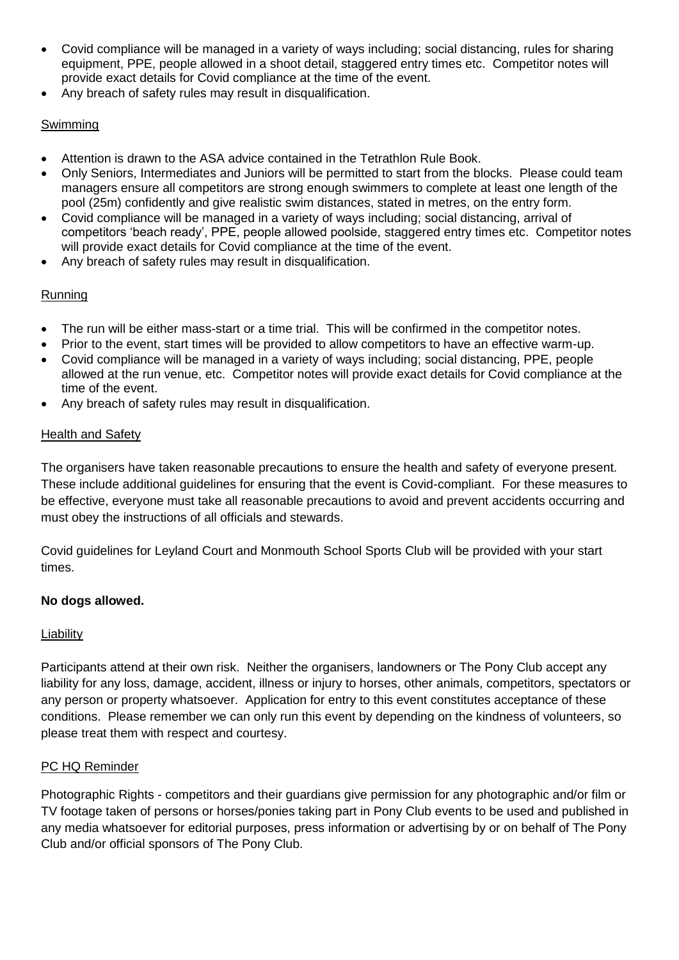- Covid compliance will be managed in a variety of ways including; social distancing, rules for sharing equipment, PPE, people allowed in a shoot detail, staggered entry times etc. Competitor notes will provide exact details for Covid compliance at the time of the event.
- Any breach of safety rules may result in disqualification.

#### Swimming

- Attention is drawn to the ASA advice contained in the Tetrathlon Rule Book.
- Only Seniors, Intermediates and Juniors will be permitted to start from the blocks. Please could team managers ensure all competitors are strong enough swimmers to complete at least one length of the pool (25m) confidently and give realistic swim distances, stated in metres, on the entry form.
- Covid compliance will be managed in a variety of ways including; social distancing, arrival of competitors 'beach ready', PPE, people allowed poolside, staggered entry times etc. Competitor notes will provide exact details for Covid compliance at the time of the event.
- Any breach of safety rules may result in disqualification.

#### Running

- The run will be either mass-start or a time trial. This will be confirmed in the competitor notes.
- Prior to the event, start times will be provided to allow competitors to have an effective warm-up.
- Covid compliance will be managed in a variety of ways including; social distancing, PPE, people allowed at the run venue, etc. Competitor notes will provide exact details for Covid compliance at the time of the event.
- Any breach of safety rules may result in disqualification.

#### Health and Safety

The organisers have taken reasonable precautions to ensure the health and safety of everyone present. These include additional guidelines for ensuring that the event is Covid-compliant. For these measures to be effective, everyone must take all reasonable precautions to avoid and prevent accidents occurring and must obey the instructions of all officials and stewards.

Covid guidelines for Leyland Court and Monmouth School Sports Club will be provided with your start times.

#### **No dogs allowed.**

#### Liability

Participants attend at their own risk. Neither the organisers, landowners or The Pony Club accept any liability for any loss, damage, accident, illness or injury to horses, other animals, competitors, spectators or any person or property whatsoever. Application for entry to this event constitutes acceptance of these conditions. Please remember we can only run this event by depending on the kindness of volunteers, so please treat them with respect and courtesy.

#### PC HQ Reminder

Photographic Rights - competitors and their guardians give permission for any photographic and/or film or TV footage taken of persons or horses/ponies taking part in Pony Club events to be used and published in any media whatsoever for editorial purposes, press information or advertising by or on behalf of The Pony Club and/or official sponsors of The Pony Club.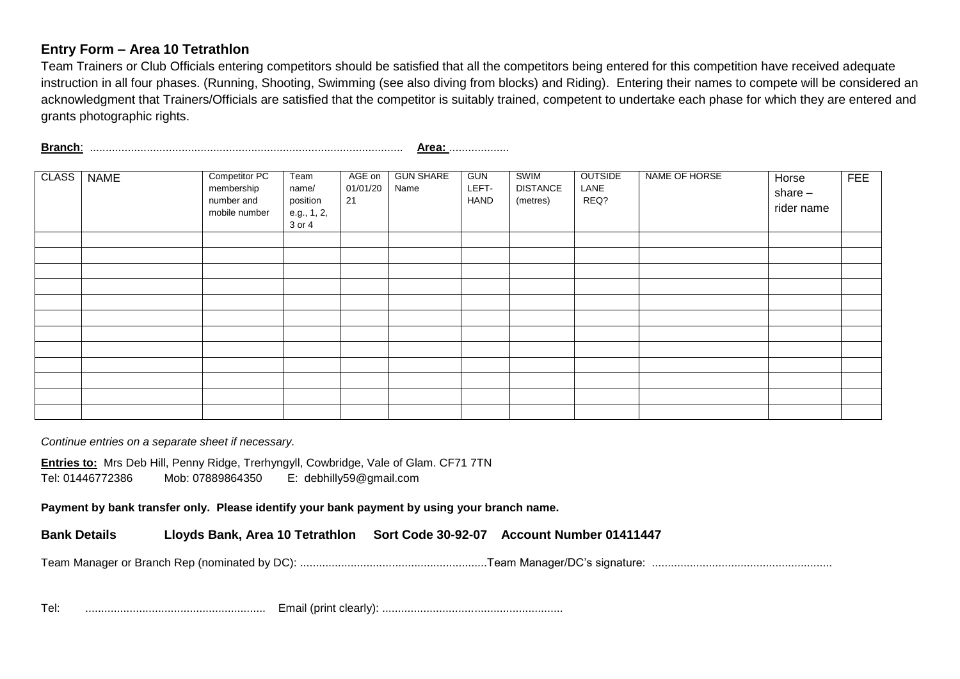#### **Entry Form – Area 10 Tetrathlon**

Team Trainers or Club Officials entering competitors should be satisfied that all the competitors being entered for this competition have received adequate instruction in all four phases. (Running, Shooting, Swimming (see also diving from blocks) and Riding). Entering their names to compete will be considered an acknowledgment that Trainers/Officials are satisfied that the competitor is suitably trained, competent to undertake each phase for which they are entered and grants photographic rights.

**Branch**: ................................................................................................... **Area:** ...................

| <b>CLASS</b> | <b>NAME</b> | Competitor PC<br>membership<br>number and<br>mobile number | Team<br>name/<br>position<br>e.g., 1, 2,<br>3 or 4 | AGE on<br>01/01/20<br>21 | <b>GUN SHARE</b><br>Name | <b>GUN</b><br>LEFT-<br>HAND | <b>SWIM</b><br><b>DISTANCE</b><br>(metres) | <b>OUTSIDE</b><br>LANE<br>REQ? | NAME OF HORSE | Horse<br>share $-$<br>rider name | <b>FEE</b> |
|--------------|-------------|------------------------------------------------------------|----------------------------------------------------|--------------------------|--------------------------|-----------------------------|--------------------------------------------|--------------------------------|---------------|----------------------------------|------------|
|              |             |                                                            |                                                    |                          |                          |                             |                                            |                                |               |                                  |            |
|              |             |                                                            |                                                    |                          |                          |                             |                                            |                                |               |                                  |            |
|              |             |                                                            |                                                    |                          |                          |                             |                                            |                                |               |                                  |            |
|              |             |                                                            |                                                    |                          |                          |                             |                                            |                                |               |                                  |            |
|              |             |                                                            |                                                    |                          |                          |                             |                                            |                                |               |                                  |            |
|              |             |                                                            |                                                    |                          |                          |                             |                                            |                                |               |                                  |            |
|              |             |                                                            |                                                    |                          |                          |                             |                                            |                                |               |                                  |            |
|              |             |                                                            |                                                    |                          |                          |                             |                                            |                                |               |                                  |            |
|              |             |                                                            |                                                    |                          |                          |                             |                                            |                                |               |                                  |            |
|              |             |                                                            |                                                    |                          |                          |                             |                                            |                                |               |                                  |            |
|              |             |                                                            |                                                    |                          |                          |                             |                                            |                                |               |                                  |            |
|              |             |                                                            |                                                    |                          |                          |                             |                                            |                                |               |                                  |            |

*Continue entries on a separate sheet if necessary.* 

**Entries to:** Mrs Deb Hill, Penny Ridge, Trerhyngyll, Cowbridge, Vale of Glam. CF71 7TN Tel: 01446772386 Mob: 07889864350 E: debhilly59@gmail.com

**Payment by bank transfer only. Please identify your bank payment by using your branch name.**

**Bank Details Lloyds Bank, Area 10 Tetrathlon Sort Code 30-92-07 Account Number 01411447**

Team Manager or Branch Rep (nominated by DC): ...........................................................Team Manager/DC's signature: .........................................................

Tel: ......................................................... Email (print clearly): .........................................................